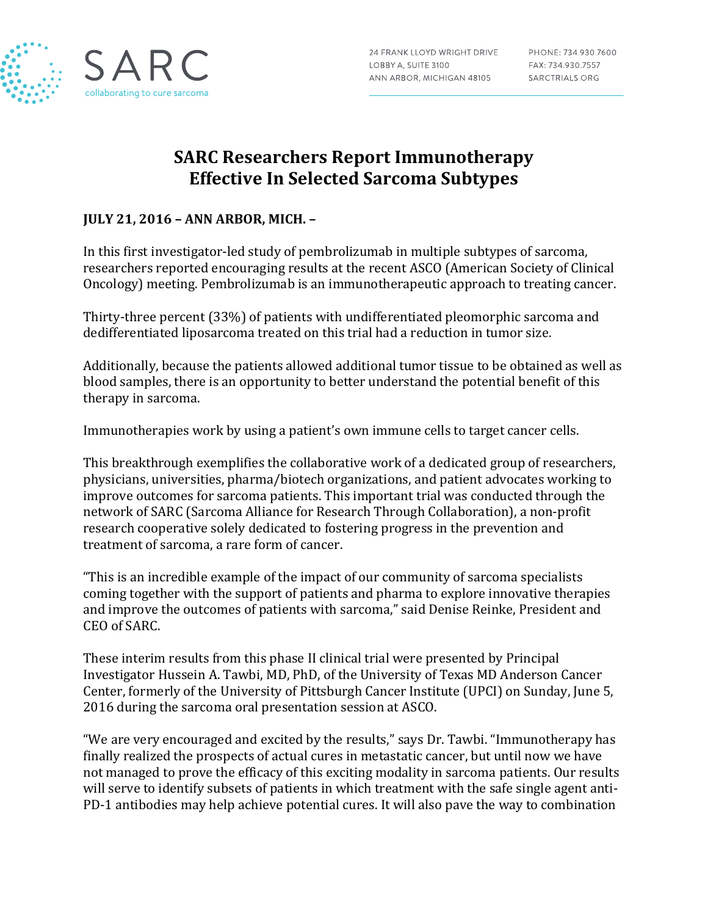

# **SARC Researchers Report Immunotherapy Effective In Selected Sarcoma Subtypes**

### **JULY 21, 2016 – ANN ARBOR, MICH. –**

In this first investigator-led study of pembrolizumab in multiple subtypes of sarcoma, researchers reported encouraging results at the recent ASCO (American Society of Clinical Oncology) meeting. Pembrolizumab is an immunotherapeutic approach to treating cancer.

Thirty-three percent (33%) of patients with undifferentiated pleomorphic sarcoma and dedifferentiated liposarcoma treated on this trial had a reduction in tumor size.

Additionally, because the patients allowed additional tumor tissue to be obtained as well as blood samples, there is an opportunity to better understand the potential benefit of this therapy in sarcoma.

Immunotherapies work by using a patient's own immune cells to target cancer cells.

This breakthrough exemplifies the collaborative work of a dedicated group of researchers, physicians, universities, pharma/biotech organizations, and patient advocates working to improve outcomes for sarcoma patients. This important trial was conducted through the network of SARC (Sarcoma Alliance for Research Through Collaboration), a non-profit research cooperative solely dedicated to fostering progress in the prevention and treatment of sarcoma, a rare form of cancer.

"This is an incredible example of the impact of our community of sarcoma specialists coming together with the support of patients and pharma to explore innovative therapies and improve the outcomes of patients with sarcoma," said Denise Reinke, President and CEO of SARC.

These interim results from this phase II clinical trial were presented by Principal Investigator Hussein A. Tawbi, MD, PhD, of the University of Texas MD Anderson Cancer Center, formerly of the University of Pittsburgh Cancer Institute (UPCI) on Sunday, June 5, 2016 during the sarcoma oral presentation session at ASCO.

"We are very encouraged and excited by the results," says Dr. Tawbi. "Immunotherapy has finally realized the prospects of actual cures in metastatic cancer, but until now we have not managed to prove the efficacy of this exciting modality in sarcoma patients. Our results will serve to identify subsets of patients in which treatment with the safe single agent anti-PD-1 antibodies may help achieve potential cures. It will also pave the way to combination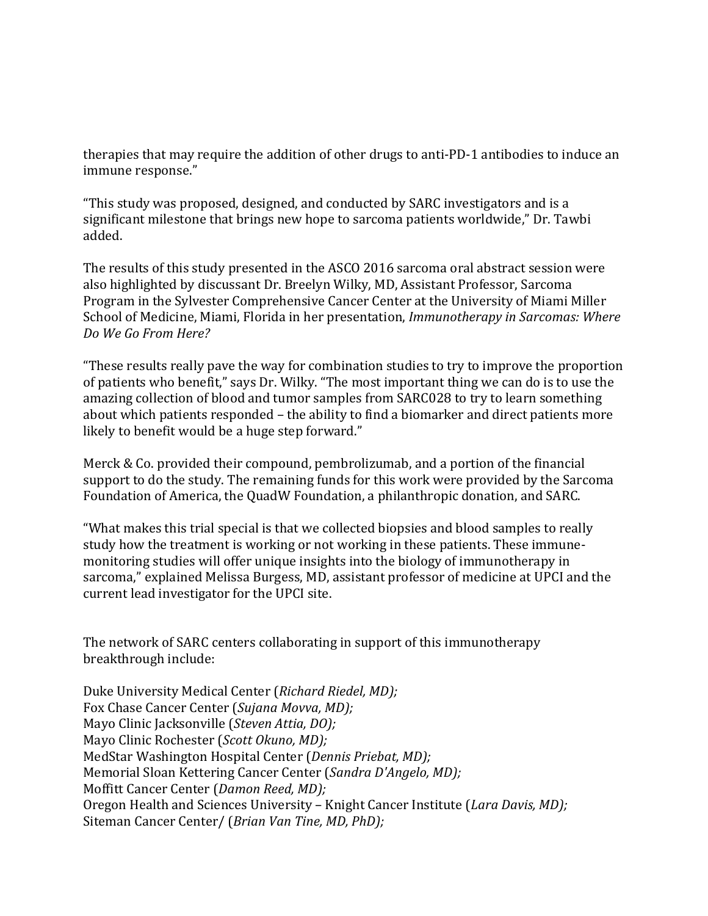therapies that may require the addition of other drugs to anti-PD-1 antibodies to induce an immune response."

"This study was proposed, designed, and conducted by SARC investigators and is a significant milestone that brings new hope to sarcoma patients worldwide," Dr. Tawbi added.

The results of this study presented in the ASCO 2016 sarcoma oral abstract session were also highlighted by discussant Dr. Breelyn Wilky, MD, Assistant Professor, Sarcoma Program in the Sylvester Comprehensive Cancer Center at the University of Miami Miller School of Medicine, Miami, Florida in her presentation, *Immunotherapy in Sarcomas: Where Do We Go From Here?*

"These results really pave the way for combination studies to try to improve the proportion of patients who benefit," says Dr. Wilky. "The most important thing we can do is to use the amazing collection of blood and tumor samples from SARC028 to try to learn something about which patients responded – the ability to find a biomarker and direct patients more likely to benefit would be a huge step forward."

Merck & Co. provided their compound, pembrolizumab, and a portion of the financial support to do the study. The remaining funds for this work were provided by the Sarcoma Foundation of America, the QuadW Foundation, a philanthropic donation, and SARC.

"What makes this trial special is that we collected biopsies and blood samples to really study how the treatment is working or not working in these patients. These immunemonitoring studies will offer unique insights into the biology of immunotherapy in sarcoma," explained Melissa Burgess, MD, assistant professor of medicine at UPCI and the current lead investigator for the UPCI site.

The network of SARC centers collaborating in support of this immunotherapy breakthrough include:

Duke University Medical Center (*Richard Riedel, MD);* Fox Chase Cancer Center (*Sujana Movva, MD);* Mayo Clinic Jacksonville (*Steven Attia, DO);* Mayo Clinic Rochester (*Scott Okuno, MD);* MedStar Washington Hospital Center (*Dennis Priebat, MD);* Memorial Sloan Kettering Cancer Center (*Sandra D'Angelo, MD);* Moffitt Cancer Center (*Damon Reed, MD);* Oregon Health and Sciences University – Knight Cancer Institute (*Lara Davis, MD);* Siteman Cancer Center/ (*Brian Van Tine, MD, PhD);*